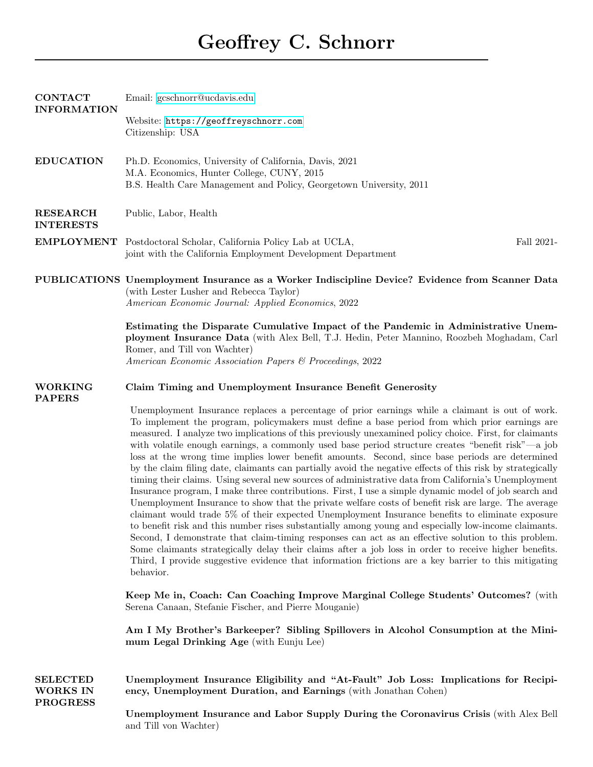| <b>CONTACT</b><br><b>INFORMATION</b>                  | Email: gcschnorr@ucdavis.edu                                                                                                                                                                                                                                                                                                                                                                                                                                                                                                                                                                                                                                                                                                                                                                                                                                                                                                                                                                                                                                                                                                                                                                                                                                                                                                                                                                                                                                                                              |
|-------------------------------------------------------|-----------------------------------------------------------------------------------------------------------------------------------------------------------------------------------------------------------------------------------------------------------------------------------------------------------------------------------------------------------------------------------------------------------------------------------------------------------------------------------------------------------------------------------------------------------------------------------------------------------------------------------------------------------------------------------------------------------------------------------------------------------------------------------------------------------------------------------------------------------------------------------------------------------------------------------------------------------------------------------------------------------------------------------------------------------------------------------------------------------------------------------------------------------------------------------------------------------------------------------------------------------------------------------------------------------------------------------------------------------------------------------------------------------------------------------------------------------------------------------------------------------|
|                                                       | Website: https://geoffreyschnorr.com<br>Citizenship: USA                                                                                                                                                                                                                                                                                                                                                                                                                                                                                                                                                                                                                                                                                                                                                                                                                                                                                                                                                                                                                                                                                                                                                                                                                                                                                                                                                                                                                                                  |
| <b>EDUCATION</b>                                      | Ph.D. Economics, University of California, Davis, 2021<br>M.A. Economics, Hunter College, CUNY, 2015<br>B.S. Health Care Management and Policy, Georgetown University, 2011                                                                                                                                                                                                                                                                                                                                                                                                                                                                                                                                                                                                                                                                                                                                                                                                                                                                                                                                                                                                                                                                                                                                                                                                                                                                                                                               |
| <b>RESEARCH</b><br><b>INTERESTS</b>                   | Public, Labor, Health                                                                                                                                                                                                                                                                                                                                                                                                                                                                                                                                                                                                                                                                                                                                                                                                                                                                                                                                                                                                                                                                                                                                                                                                                                                                                                                                                                                                                                                                                     |
|                                                       | EMPLOYMENT Postdoctoral Scholar, California Policy Lab at UCLA,<br>Fall 2021-<br>joint with the California Employment Development Department                                                                                                                                                                                                                                                                                                                                                                                                                                                                                                                                                                                                                                                                                                                                                                                                                                                                                                                                                                                                                                                                                                                                                                                                                                                                                                                                                              |
|                                                       | PUBLICATIONS Unemployment Insurance as a Worker Indiscipline Device? Evidence from Scanner Data<br>(with Lester Lusher and Rebecca Taylor)<br>American Economic Journal: Applied Economics, 2022                                                                                                                                                                                                                                                                                                                                                                                                                                                                                                                                                                                                                                                                                                                                                                                                                                                                                                                                                                                                                                                                                                                                                                                                                                                                                                          |
|                                                       | Estimating the Disparate Cumulative Impact of the Pandemic in Administrative Unem-<br>ployment Insurance Data (with Alex Bell, T.J. Hedin, Peter Mannino, Roozbeh Moghadam, Carl<br>Romer, and Till von Wachter)<br>American Economic Association Papers & Proceedings, 2022                                                                                                                                                                                                                                                                                                                                                                                                                                                                                                                                                                                                                                                                                                                                                                                                                                                                                                                                                                                                                                                                                                                                                                                                                              |
| <b>WORKING</b><br><b>PAPERS</b>                       | Claim Timing and Unemployment Insurance Benefit Generosity                                                                                                                                                                                                                                                                                                                                                                                                                                                                                                                                                                                                                                                                                                                                                                                                                                                                                                                                                                                                                                                                                                                                                                                                                                                                                                                                                                                                                                                |
|                                                       | Unemployment Insurance replaces a percentage of prior earnings while a claimant is out of work.<br>To implement the program, policymakers must define a base period from which prior earnings are<br>measured. I analyze two implications of this previously unexamined policy choice. First, for claimants<br>with volatile enough earnings, a commonly used base period structure creates "benefit risk"—a job<br>loss at the wrong time implies lower benefit amounts. Second, since base periods are determined<br>by the claim filing date, claimants can partially avoid the negative effects of this risk by strategically<br>timing their claims. Using several new sources of administrative data from California's Unemployment<br>Insurance program, I make three contributions. First, I use a simple dynamic model of job search and<br>Unemployment Insurance to show that the private welfare costs of benefit risk are large. The average<br>claimant would trade 5% of their expected Unemployment Insurance benefits to eliminate exposure<br>to benefit risk and this number rises substantially among young and especially low-income claimants.<br>Second, I demonstrate that claim-timing responses can act as an effective solution to this problem.<br>Some claimants strategically delay their claims after a job loss in order to receive higher benefits.<br>Third, I provide suggestive evidence that information frictions are a key barrier to this mitigating<br>behavior. |
|                                                       | Keep Me in, Coach: Can Coaching Improve Marginal College Students' Outcomes? (with<br>Serena Canaan, Stefanie Fischer, and Pierre Mouganie)                                                                                                                                                                                                                                                                                                                                                                                                                                                                                                                                                                                                                                                                                                                                                                                                                                                                                                                                                                                                                                                                                                                                                                                                                                                                                                                                                               |
|                                                       | Am I My Brother's Barkeeper? Sibling Spillovers in Alcohol Consumption at the Mini-<br>mum Legal Drinking Age (with Eunju Lee)                                                                                                                                                                                                                                                                                                                                                                                                                                                                                                                                                                                                                                                                                                                                                                                                                                                                                                                                                                                                                                                                                                                                                                                                                                                                                                                                                                            |
| <b>SELECTED</b><br><b>WORKS IN</b><br><b>PROGRESS</b> | Unemployment Insurance Eligibility and "At-Fault" Job Loss: Implications for Recipi-<br>ency, Unemployment Duration, and Earnings (with Jonathan Cohen)                                                                                                                                                                                                                                                                                                                                                                                                                                                                                                                                                                                                                                                                                                                                                                                                                                                                                                                                                                                                                                                                                                                                                                                                                                                                                                                                                   |
|                                                       | Unemployment Insurance and Labor Supply During the Coronavirus Crisis (with Alex Bell<br>and Till von Wachter)                                                                                                                                                                                                                                                                                                                                                                                                                                                                                                                                                                                                                                                                                                                                                                                                                                                                                                                                                                                                                                                                                                                                                                                                                                                                                                                                                                                            |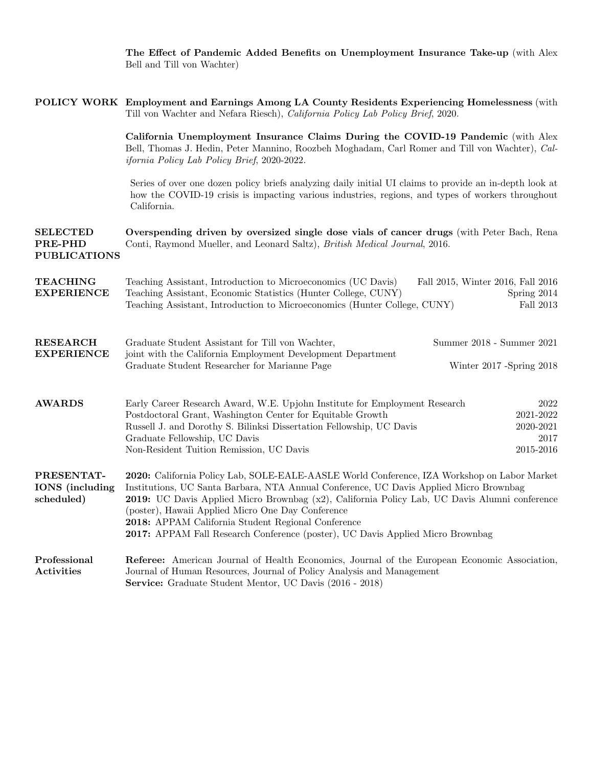The Effect of Pandemic Added Benefits on Unemployment Insurance Take-up (with Alex Bell and Till von Wachter)

|                                                    | POLICY WORK Employment and Earnings Among LA County Residents Experiencing Homelessness (with<br>Till von Wachter and Nefara Riesch), California Policy Lab Policy Brief, 2020.                                                                                                                                                                                                                                                                                                     |
|----------------------------------------------------|-------------------------------------------------------------------------------------------------------------------------------------------------------------------------------------------------------------------------------------------------------------------------------------------------------------------------------------------------------------------------------------------------------------------------------------------------------------------------------------|
|                                                    | California Unemployment Insurance Claims During the COVID-19 Pandemic (with Alex<br>Bell, Thomas J. Hedin, Peter Mannino, Roozbeh Moghadam, Carl Romer and Till von Wachter), Cal-<br><i>ifornia Policy Lab Policy Brief, 2020-2022.</i>                                                                                                                                                                                                                                            |
|                                                    | Series of over one dozen policy briefs analyzing daily initial UI claims to provide an in-depth look at<br>how the COVID-19 crisis is impacting various industries, regions, and types of workers throughout<br>California.                                                                                                                                                                                                                                                         |
| <b>SELECTED</b><br>PRE-PHD<br><b>PUBLICATIONS</b>  | Overspending driven by oversized single dose vials of cancer drugs (with Peter Bach, Rena<br>Conti, Raymond Mueller, and Leonard Saltz), British Medical Journal, 2016.                                                                                                                                                                                                                                                                                                             |
| <b>TEACHING</b><br><b>EXPERIENCE</b>               | Teaching Assistant, Introduction to Microeconomics (UC Davis)<br>Fall 2015, Winter 2016, Fall 2016<br>Teaching Assistant, Economic Statistics (Hunter College, CUNY)<br>Spring 2014<br>Teaching Assistant, Introduction to Microeconomics (Hunter College, CUNY)<br>Fall 2013                                                                                                                                                                                                       |
| <b>RESEARCH</b><br><b>EXPERIENCE</b>               | Graduate Student Assistant for Till von Wachter,<br>Summer 2018 - Summer 2021<br>joint with the California Employment Development Department<br>Graduate Student Researcher for Marianne Page<br>Winter 2017 -Spring 2018                                                                                                                                                                                                                                                           |
| <b>AWARDS</b>                                      | Early Career Research Award, W.E. Upjohn Institute for Employment Research<br>2022<br>2021-2022<br>Postdoctoral Grant, Washington Center for Equitable Growth<br>Russell J. and Dorothy S. Bilinksi Dissertation Fellowship, UC Davis<br>2020-2021<br>Graduate Fellowship, UC Davis<br>2017<br>2015-2016<br>Non-Resident Tuition Remission, UC Davis                                                                                                                                |
| PRESENTAT-<br><b>IONS</b> (including<br>scheduled) | 2020: California Policy Lab, SOLE-EALE-AASLE World Conference, IZA Workshop on Labor Market<br>Institutions, UC Santa Barbara, NTA Annual Conference, UC Davis Applied Micro Brownbag<br>2019: UC Davis Applied Micro Brownbag (x2), California Policy Lab, UC Davis Alumni conference<br>(poster), Hawaii Applied Micro One Day Conference<br>2018: APPAM California Student Regional Conference<br>2017: APPAM Fall Research Conference (poster), UC Davis Applied Micro Brownbag |
| Professional<br>Activities                         | Referee: American Journal of Health Economics, Journal of the European Economic Association,<br>Journal of Human Resources, Journal of Policy Analysis and Management<br>Service: Graduate Student Mentor, UC Davis (2016 - 2018)                                                                                                                                                                                                                                                   |